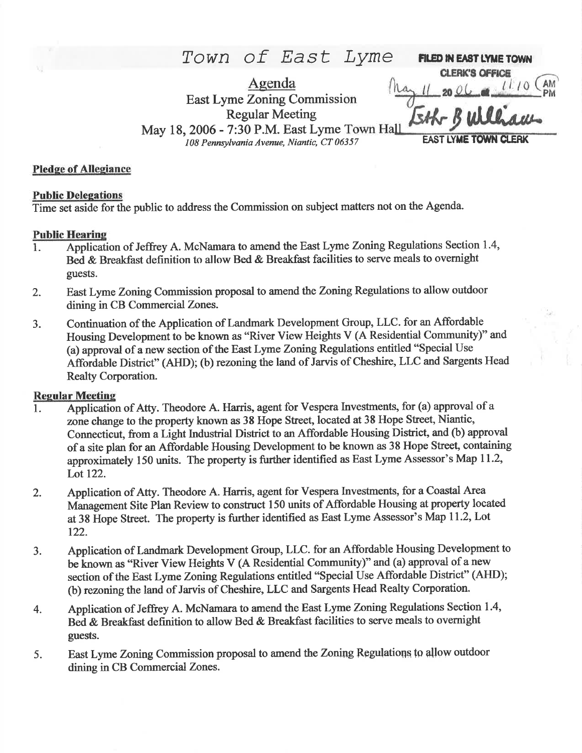Town of East Lyme FILED IN EAST LYME TOWN **CLERK'S OFFICE** Agenda **East Lyme Zoning Commission Regular Meeting** May 18, 2006 - 7:30 P.M. East Lyme Town Hal **EAST LYME TOWN CLERK** 108 Pennsylvania Avenue, Niantic, CT 06357

### **Pledge of Allegiance**

#### **Public Delegations**

Time set aside for the public to address the Commission on subject matters not on the Agenda.

#### **Public Hearing**

- Application of Jeffrey A. McNamara to amend the East Lyme Zoning Regulations Section 1.4, 1. Bed & Breakfast definition to allow Bed & Breakfast facilities to serve meals to overnight guests.
- East Lyme Zoning Commission proposal to amend the Zoning Regulations to allow outdoor  $2.$ dining in CB Commercial Zones.
- Continuation of the Application of Landmark Development Group, LLC. for an Affordable 3. Housing Development to be known as "River View Heights V (A Residential Community)" and (a) approval of a new section of the East Lyme Zoning Regulations entitled "Special Use Affordable District" (AHD); (b) rezoning the land of Jarvis of Cheshire, LLC and Sargents Head Realty Corporation.

### **Regular Meeting**

- Application of Atty. Theodore A. Harris, agent for Vespera Investments, for (a) approval of a  $\mathbf{1}$ . zone change to the property known as 38 Hope Street, located at 38 Hope Street, Niantic, Connecticut, from a Light Industrial District to an Affordable Housing District, and (b) approval of a site plan for an Affordable Housing Development to be known as 38 Hope Street, containing approximately 150 units. The property is further identified as East Lyme Assessor's Map 11.2, Lot 122.
- Application of Atty. Theodore A. Harris, agent for Vespera Investments, for a Coastal Area 2. Management Site Plan Review to construct 150 units of Affordable Housing at property located at 38 Hope Street. The property is further identified as East Lyme Assessor's Map 11.2, Lot 122.
- Application of Landmark Development Group, LLC. for an Affordable Housing Development to 3. be known as "River View Heights V (A Residential Community)" and (a) approval of a new section of the East Lyme Zoning Regulations entitled "Special Use Affordable District" (AHD); (b) rezoning the land of Jarvis of Cheshire, LLC and Sargents Head Realty Corporation.
- Application of Jeffrey A. McNamara to amend the East Lyme Zoning Regulations Section 1.4, 4. Bed & Breakfast definition to allow Bed & Breakfast facilities to serve meals to overnight guests.
- East Lyme Zoning Commission proposal to amend the Zoning Regulations to allow outdoor 5. dining in CB Commercial Zones.